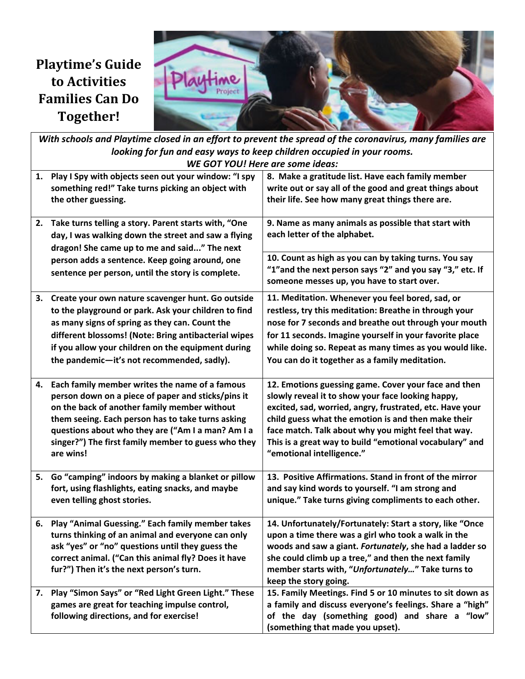# **Playtime's Guide to Activities Families Can Do Together!**



With schools and Playtime closed in an effort to prevent the spread of the coronavirus, many families are *looking for fun and easy ways to keep children occupied in your rooms. WE GOT YOU! Here are some ideas:* **1. Play I Spy with objects seen out your window: "I spy something red!" Take turns picking an object with the other guessing. 8. Make a gratitude list. Have each family member write out or say all of the good and great things about their life. See how many great things there are. 2. Take turns telling a story. Parent starts with, "One day, I was walking down the street and saw a flying dragon! She came up to me and said..." The next person adds a sentence. Keep going around, one sentence per person, until the story is complete. 9. Name as many animals as possible that start with each letter of the alphabet. 10. Count as high as you can by taking turns. You say "1"and the next person says "2" and you say "3," etc. If someone messes up, you have to start over. 3. Create your own nature scavenger hunt. Go outside to the playground or park. Ask your children to find as many signs of spring as they can. Count the different blossoms! (Note: Bring antibacterial wipes if you allow your children on the equipment during the pandemic—it's not recommended, sadly). 11. Meditation. Whenever you feel bored, sad, or restless, try this meditation: Breathe in through your nose for 7 seconds and breathe out through your mouth for 11 seconds. Imagine yourself in your favorite place while doing so. Repeat as many times as you would like. You can do it together as a family meditation. 4. Each family member writes the name of a famous person down on a piece of paper and sticks/pins it on the back of another family member without them seeing. Each person has to take turns asking questions about who they are ("Am I a man? Am I a singer?") The first family member to guess who they are wins! 12. Emotions guessing game. Cover your face and then slowly reveal it to show your face looking happy, excited, sad, worried, angry, frustrated, etc. Have your child guess what the emotion is and then make their face match. Talk about why you might feel that way. This is a great way to build "emotional vocabulary" and "emotional intelligence." 5. Go "camping" indoors by making a blanket or pillow fort, using flashlights, eating snacks, and maybe even telling ghost stories. 13. Positive Affirmations. Stand in front of the mirror and say kind words to yourself. "I am strong and unique." Take turns giving compliments to each other. 6. Play "Animal Guessing." Each family member takes turns thinking of an animal and everyone can only ask "yes" or "no" questions until they guess the correct animal. ("Can this animal fly? Does it have fur?") Then it's the next person's turn. 14. Unfortunately/Fortunately: Start a story, like "Once upon a time there was a girl who took a walk in the woods and saw a giant.** *Fortunately***, she had a ladder so she could climb up a tree," and then the next family member starts with, "***Unfortunately…***" Take turns to keep the story going. 7. Play "Simon Says" or "Red Light Green Light." These games are great for teaching impulse control, following directions, and for exercise! 15. Family Meetings. Find 5 or 10 minutes to sit down as a family and discuss everyone's feelings. Share a "high" of the day (something good) and share a "low" (something that made you upset).**